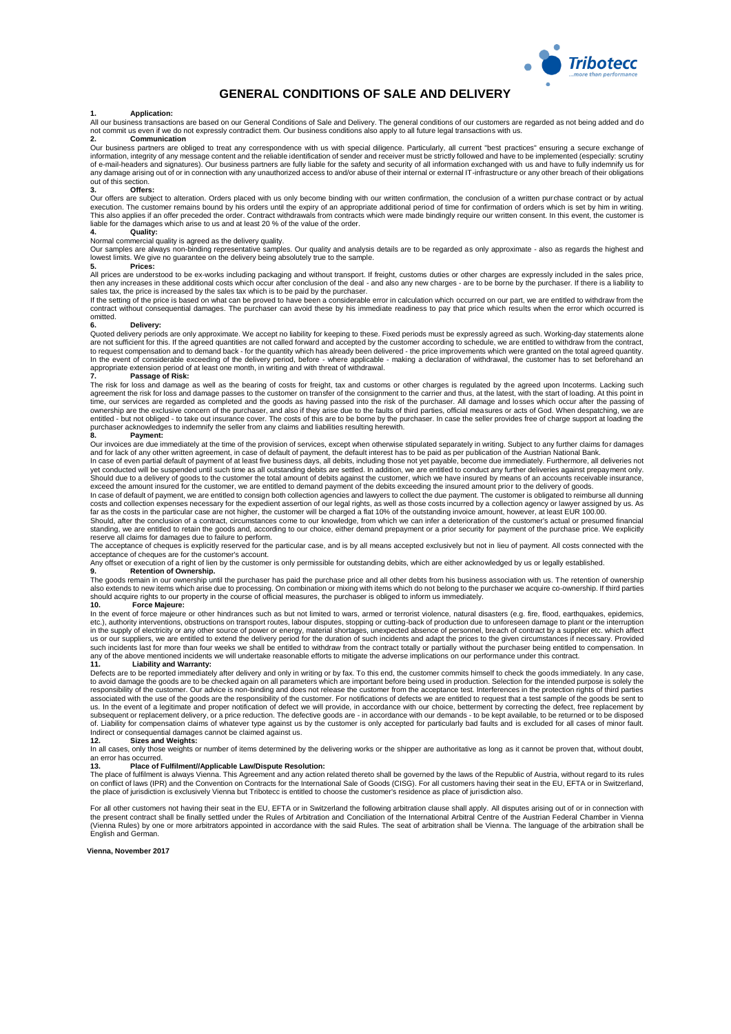

## **GENERAL CONDITIONS OF SALE AND DELIVERY**

### **1. Application:**

All our business transactions are based on our General Conditions of Sale and Delivery. The general conditions of our customers are regarded as not being added and do<br>not commit us even if we do not expressly contradict th **2. Communication**

Our business partners are obliged to treat any correspondence with us with special diligence. Particularly, all current "best practices" ensuring a secure exchange of<br>information, integrity of any message content and the r of e-mail-headers and signatures). Our business partners are fully liable for the safety and security of all information exchanged with us and have to fully indemnify us for<br>any damage arising out of or in connection with out of this section.

## **3. Offers:**

Our offers are subject to alteration. Orders placed with us only become binding with our written confirmation, the conclusion of a written purchase contract or by actual<br>execution. The customer remains bound by his orders This also applies if an offer preceded the order. Contract withdrawals from contracts which were made bindingly require our written consent. In this event, the customer is<br>liable for the damages which arise to us and at le

## **4. Quality:**

Normal commercial quality is agreed as the delivery quality.

Our samples are always non-binding representative samples. Our quality and analysis details are to be regarded as only approximate - also as regards the highest and<br>lowest limits. We give no guarantee on the delivery being

### **5. Prices:**

All prices are understood to be ex-works including packaging and without transport. If freight, customs duties or other charges are expressly included in the sales price, then any increases in these additional costs which occur after conclusion of the deal - and also any new charges - are to be borne by the purchaser. If there is a liability to

sales tax, the price is increased by the sales tax which is to be paid by the purchaser.<br>If the setting of the price is based on what can be proved to have been a considerable error in calculation which occurred on our par contract without consequential damages. The purchaser can avoid these by his immediate readiness to pay that price which results when the error which occurred is omitted.

### **6. Delivery:**

Quoted delivery periods are only approximate. We accept no liability for keeping to these. Fixed periods must be expressly agreed as such. Working-day statements alone are not sufficient for this. If the agreed quantities are not called forward and accepted by the customer according to schedule, we are entitled to withdraw from the contract,<br>to request compensation and to demand back - f appropriate extension period of at least one month, in writing and with threat of withdrawal. **7. Passage of Risk:**

The risk for loss and damage as well as the bearing of costs for freight, tax and customs or other charges is regulated by the agreed upon Incoterms. Lacking such<br>agreement the risk for loss and damage passes to the custom time, our services are regarded as completed and the goods as having passed into the risk of the purchaser. All damage and losses which occur after the passing of<br>ownership are the exclusive concern of the purchaser, and a entitled - but not obliged - to take out insurance cover. The costs of this are to be borne by the purchaser. In case the seller provides free of charge support at loading the<br>purchaser acknowledges to indemnify the seller

### **8. Payment:**

Our invoices are due immediately at the time of the provision of services, except when otherwise stipulated separately in writing. Subject to any further claims for damages and for lack of any other written agreement, in case of default of payment, the default interest has to be paid as per publication of the Austrian National Bank.

In case of even partial default of payment of at least five business days, all debits, including those not yet payable, become due immediately. Furthermore, all deliveries not<br>Should due to a delivery of goods to the custo

In case of default of payment, we are entitled to consign both collection agencies and lawyers to collect the due payment. The customer is obligated to reimburse all dunning costs and collection expenses necessary for the expedient assertion of our legal rights, as well as those costs incurred by a collection agency or lawyer assigned by us. As far as the costs in the particular case are not higher, the customer will be charged a flat 10% of the outstanding invoice amount, however, at least EUR 100.00.<br>Should, after the conclusion of a contract, circumstances com

standing, we are entitled to retain the goods and, according to our choice, either demand prepayment or a prior security for payment of the purchase price. We explicitly reserve all claims for damages due to failure to perform.

The acceptance of cheques is explicitly reserved for the particular case, and is by all means accepted exclusively but not in lieu of payment. All costs connected with the

acceptance of cheques are for the customer's account.<br>Any offset or execution of a right of lien by the customer is only permissible for outstanding debits, which are either acknowledged by us or legally established.

## **9. Retention of Ownership.**

The goods remain in our ownership until the purchaser has paid the purchase price and all other debts from his business association with us. The retention of ownership also extends to new items which arise due to processing. On combination or mixing with items which do not belong to the purchaser we acquire co-ownership. If third parties<br>should acquire rights to our property in the cours

### **10. Force Majeure:**

In the event of force majeure or other hindrances such as but not limited to wars, armed or terrorist violence, natural disasters (e.g. fire, flood, earthquakes, epidemics, etc.), authority interventions, obstructions on transport routes, labour disputes, stopping or cutting-back of production due to unforeseen damage to plant or the interruption<br>in the supply of electricity or any other sour

## **11. Liability and Warranty:**

Defects are to be reported immediately after delivery and only in writing or by fax. To this end, the customer commits himself to check the goods immediately. In any case, to avoid damage the goods are to be checked again on all parameters which are important before being used in production. Selection for the intended purpose is solely the<br>responsibility of the customer. Our advice is non-bi associated with the use of the goods are the responsibility of the customer. For notifications of defects we are entitled to request that a test sample of the goods be sent to<br>us. In the event of a legitimate and proper no subsequent or replacement delivery, or a price reduction. The defective goods are - in accordance with our demands - to be kept available, to be returned or to be disposed<br>of. Liability for compensation claims of whatever Indirect or consequential damages cannot be claimed against us.<br>12. Sizes and Weights:

## **12. Sizes and Weights:**

In all cases, only those weights or number of items determined by the delivering works or the shipper are authoritative as long as it cannot be proven that, without doubt,

# an error has occurred. **13. Place of Fulfilment//Applicable Law/Dispute Resolution:**

The place of fulfilment is always Vienna. This Agreement and any action related thereto shall be governed by the laws of the Republic of Austria, without regard to its rules<br>on conflict of laws (IPR) and the Convention on the place of jurisdiction is exclusively Vienna but Tribotecc is entitled to choose the customer's residence as place of jurisdiction also.

For all other customers not having their seat in the EU, EFTA or in Switzerland the following arbitration clause shall apply. All disputes arising out of or in connection with<br>the present contract shall be finally settled (Vienna Rules) by one or more arbitrators appointed in accordance with the said Rules. The seat of arbitration shall be Vienna. The language of the arbitration shall be English and German.

**Vienna, November 2017**